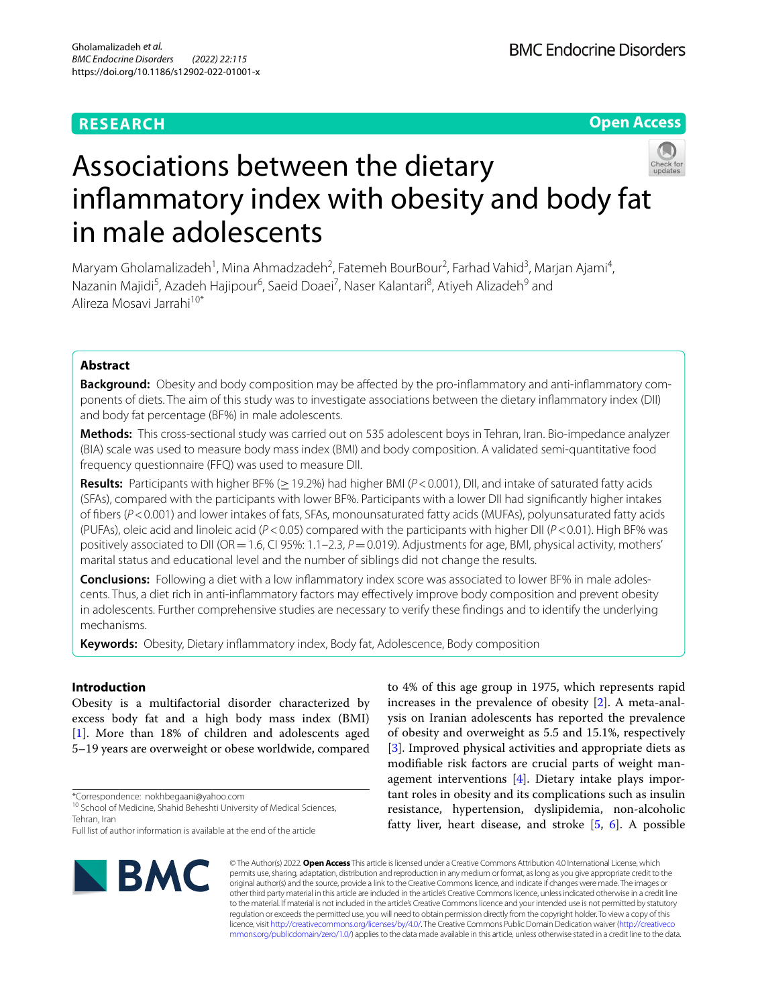# **RESEARCH**

**Open Access**

# Associations between the dietary infammatory index with obesity and body fat in male adolescents

Maryam Gholamalizadeh<sup>1</sup>, Mina Ahmadzadeh<sup>2</sup>, Fatemeh BourBour<sup>2</sup>, Farhad Vahid<sup>3</sup>, Marjan Ajami<sup>4</sup>, Nazanin Majidi<sup>5</sup>, Azadeh Hajipour<sup>6</sup>, Saeid Doaei<sup>7</sup>, Naser Kalantari<sup>8</sup>, Atiyeh Alizadeh<sup>9</sup> and Alireza Mosavi Jarrahi10\*

# **Abstract**

**Background:** Obesity and body composition may be affected by the pro-inflammatory and anti-inflammatory components of diets. The aim of this study was to investigate associations between the dietary infammatory index (DII) and body fat percentage (BF%) in male adolescents.

**Methods:** This cross-sectional study was carried out on 535 adolescent boys in Tehran, Iran. Bio-impedance analyzer (BIA) scale was used to measure body mass index (BMI) and body composition. A validated semi-quantitative food frequency questionnaire (FFQ) was used to measure DII.

**Results:** Participants with higher BF% (≥19.2%) had higher BMI (*P*<0.001), DII, and intake of saturated fatty acids (SFAs), compared with the participants with lower BF%. Participants with a lower DII had signifcantly higher intakes of fbers (*P*<0.001) and lower intakes of fats, SFAs, monounsaturated fatty acids (MUFAs), polyunsaturated fatty acids (PUFAs), oleic acid and linoleic acid (*P*<0.05) compared with the participants with higher DII (*P*<0.01). High BF% was positively associated to DII (OR = 1.6, CI 95%: 1.1–2.3, *P* = 0.019). Adjustments for age, BMI, physical activity, mothers' marital status and educational level and the number of siblings did not change the results.

**Conclusions:** Following a diet with a low infammatory index score was associated to lower BF% in male adolescents. Thus, a diet rich in anti-infammatory factors may efectively improve body composition and prevent obesity in adolescents. Further comprehensive studies are necessary to verify these fndings and to identify the underlying mechanisms.

**Keywords:** Obesity, Dietary infammatory index, Body fat, Adolescence, Body composition

## **Introduction**

Obesity is a multifactorial disorder characterized by excess body fat and a high body mass index (BMI) [[1\]](#page-6-0). More than 18% of children and adolescents aged 5–19 years are overweight or obese worldwide, compared

Full list of author information is available at the end of the article



to 4% of this age group in 1975, which represents rapid increases in the prevalence of obesity [\[2](#page-6-1)]. A meta-analysis on Iranian adolescents has reported the prevalence of obesity and overweight as 5.5 and 15.1%, respectively [[3\]](#page-6-2). Improved physical activities and appropriate diets as modifable risk factors are crucial parts of weight management interventions [[4\]](#page-6-3). Dietary intake plays important roles in obesity and its complications such as insulin resistance, hypertension, dyslipidemia, non-alcoholic fatty liver, heart disease, and stroke [\[5](#page-6-4), [6\]](#page-6-5). A possible

© The Author(s) 2022. **Open Access** This article is licensed under a Creative Commons Attribution 4.0 International License, which permits use, sharing, adaptation, distribution and reproduction in any medium or format, as long as you give appropriate credit to the original author(s) and the source, provide a link to the Creative Commons licence, and indicate if changes were made. The images or other third party material in this article are included in the article's Creative Commons licence, unless indicated otherwise in a credit line to the material. If material is not included in the article's Creative Commons licence and your intended use is not permitted by statutory regulation or exceeds the permitted use, you will need to obtain permission directly from the copyright holder. To view a copy of this licence, visit [http://creativecommons.org/licenses/by/4.0/.](http://creativecommons.org/licenses/by/4.0/) The Creative Commons Public Domain Dedication waiver ([http://creativeco](http://creativecommons.org/publicdomain/zero/1.0/) [mmons.org/publicdomain/zero/1.0/](http://creativecommons.org/publicdomain/zero/1.0/)) applies to the data made available in this article, unless otherwise stated in a credit line to the data.

<sup>\*</sup>Correspondence: nokhbegaani@yahoo.com

<sup>&</sup>lt;sup>10</sup> School of Medicine, Shahid Beheshti University of Medical Sciences, Tehran, Iran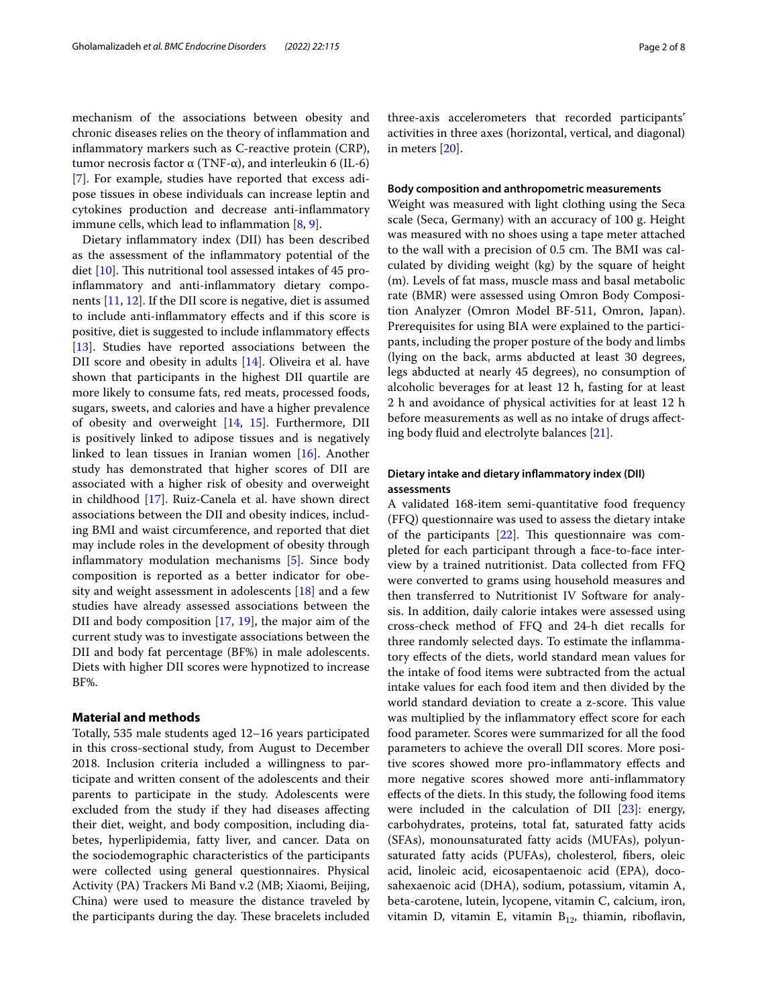mechanism of the associations between obesity and chronic diseases relies on the theory of infammation and infammatory markers such as C-reactive protein (CRP), tumor necrosis factor α (TNF-α), and interleukin 6 (IL-6) [[7\]](#page-6-6). For example, studies have reported that excess adipose tissues in obese individuals can increase leptin and cytokines production and decrease anti-infammatory immune cells, which lead to inflammation  $[8, 9]$  $[8, 9]$  $[8, 9]$ .

Dietary infammatory index (DII) has been described as the assessment of the infammatory potential of the diet  $[10]$ . This nutritional tool assessed intakes of 45 proinfammatory and anti-infammatory dietary components [[11,](#page-6-10) [12\]](#page-6-11). If the DII score is negative, diet is assumed to include anti-infammatory efects and if this score is positive, diet is suggested to include infammatory efects [[13\]](#page-6-12). Studies have reported associations between the DII score and obesity in adults [\[14\]](#page-6-13). Oliveira et al. have shown that participants in the highest DII quartile are more likely to consume fats, red meats, processed foods, sugars, sweets, and calories and have a higher prevalence of obesity and overweight [[14,](#page-6-13) [15](#page-6-14)]. Furthermore, DII is positively linked to adipose tissues and is negatively linked to lean tissues in Iranian women [[16](#page-6-15)]. Another study has demonstrated that higher scores of DII are associated with a higher risk of obesity and overweight in childhood [[17\]](#page-6-16). Ruiz-Canela et al. have shown direct associations between the DII and obesity indices, including BMI and waist circumference, and reported that diet may include roles in the development of obesity through infammatory modulation mechanisms [\[5](#page-6-4)]. Since body composition is reported as a better indicator for obesity and weight assessment in adolescents [[18\]](#page-6-17) and a few studies have already assessed associations between the DII and body composition [\[17,](#page-6-16) [19\]](#page-6-18), the major aim of the current study was to investigate associations between the DII and body fat percentage (BF%) in male adolescents. Diets with higher DII scores were hypnotized to increase BF%.

#### **Material and methods**

Totally, 535 male students aged 12–16 years participated in this cross-sectional study, from August to December 2018. Inclusion criteria included a willingness to participate and written consent of the adolescents and their parents to participate in the study. Adolescents were excluded from the study if they had diseases afecting their diet, weight, and body composition, including diabetes, hyperlipidemia, fatty liver, and cancer. Data on the sociodemographic characteristics of the participants were collected using general questionnaires. Physical Activity (PA) Trackers Mi Band v.2 (MB; Xiaomi, Beijing, China) were used to measure the distance traveled by the participants during the day. These bracelets included

three-axis accelerometers that recorded participants' activities in three axes (horizontal, vertical, and diagonal) in meters [[20](#page-7-0)].

#### **Body composition and anthropometric measurements**

Weight was measured with light clothing using the Seca scale (Seca, Germany) with an accuracy of 100 g. Height was measured with no shoes using a tape meter attached to the wall with a precision of 0.5 cm. The BMI was calculated by dividing weight (kg) by the square of height (m). Levels of fat mass, muscle mass and basal metabolic rate (BMR) were assessed using Omron Body Composition Analyzer (Omron Model BF-511, Omron, Japan). Prerequisites for using BIA were explained to the participants, including the proper posture of the body and limbs (lying on the back, arms abducted at least 30 degrees, legs abducted at nearly 45 degrees), no consumption of alcoholic beverages for at least 12 h, fasting for at least 2 h and avoidance of physical activities for at least 12 h before measurements as well as no intake of drugs afecting body fuid and electrolyte balances [[21](#page-7-1)].

# **Dietary intake and dietary infammatory index (DII) assessments**

A validated 168-item semi-quantitative food frequency (FFQ) questionnaire was used to assess the dietary intake of the participants  $[22]$ . This questionnaire was completed for each participant through a face-to-face interview by a trained nutritionist. Data collected from FFQ were converted to grams using household measures and then transferred to Nutritionist IV Software for analysis. In addition, daily calorie intakes were assessed using cross-check method of FFQ and 24-h diet recalls for three randomly selected days. To estimate the infammatory efects of the diets, world standard mean values for the intake of food items were subtracted from the actual intake values for each food item and then divided by the world standard deviation to create a z-score. This value was multiplied by the infammatory efect score for each food parameter. Scores were summarized for all the food parameters to achieve the overall DII scores. More positive scores showed more pro-infammatory efects and more negative scores showed more anti-infammatory efects of the diets. In this study, the following food items were included in the calculation of DII [[23\]](#page-7-3): energy, carbohydrates, proteins, total fat, saturated fatty acids (SFAs), monounsaturated fatty acids (MUFAs), polyunsaturated fatty acids (PUFAs), cholesterol, fbers, oleic acid, linoleic acid, eicosapentaenoic acid (EPA), docosahexaenoic acid (DHA), sodium, potassium, vitamin A, beta-carotene, lutein, lycopene, vitamin C, calcium, iron, vitamin D, vitamin E, vitamin  $B_{12}$ , thiamin, riboflavin,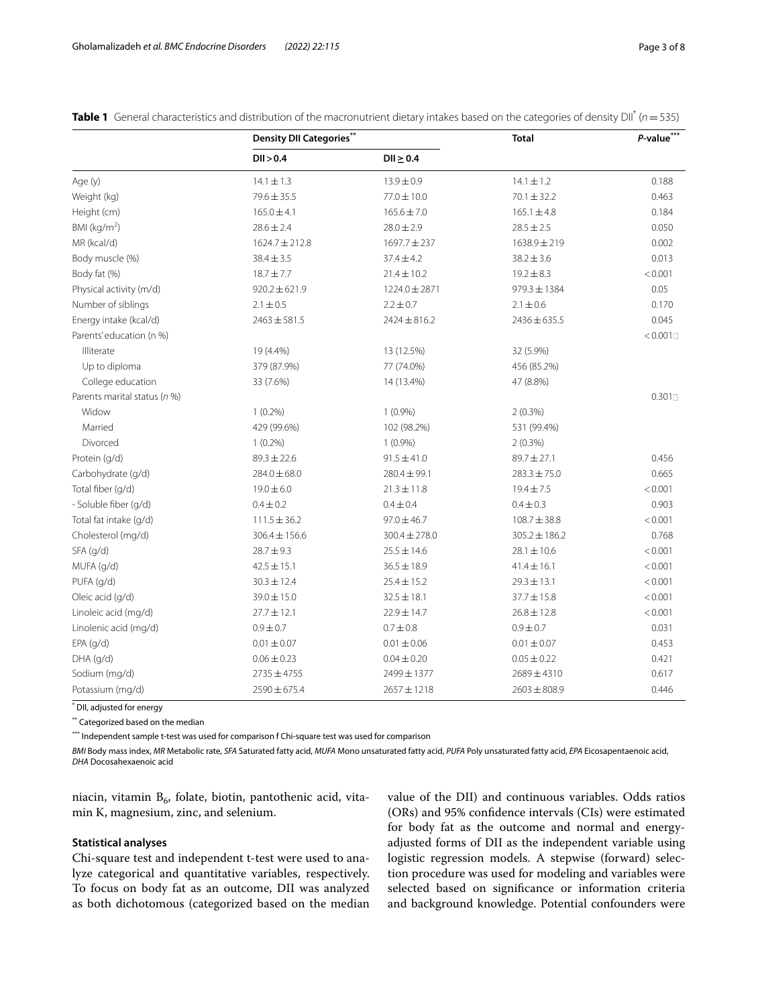|                              | <b>Density DII Categories**</b> |                   | <b>Total</b>      | P-value*** |  |
|------------------------------|---------------------------------|-------------------|-------------------|------------|--|
|                              | DII > 0.4                       | $DII \geq 0.4$    |                   |            |  |
| Age (y)                      | $14.1 \pm 1.3$                  | $13.9 \pm 0.9$    | $14.1 \pm 1.2$    | 0.188      |  |
| Weight (kg)                  | 79.6 ± 35.5                     | 77.0 ± 10.0       | $70.1 \pm 32.2$   | 0.463      |  |
| Height (cm)                  | $165.0 \pm 4.1$                 | $165.6 \pm 7.0$   | $165.1 \pm 4.8$   | 0.184      |  |
| BMI (kg/m <sup>2</sup> )     | $28.6 \pm 2.4$                  | $28.0 \pm 2.9$    | $28.5 \pm 2.5$    | 0.050      |  |
| MR (kcal/d)                  | $1624.7 \pm 212.8$              | $1697.7 \pm 237$  | 1638.9 ± 219      | 0.002      |  |
| Body muscle (%)              | $38.4 \pm 3.5$                  | $37.4 \pm 4.2$    | $38.2 \pm 3.6$    | 0.013      |  |
| Body fat (%)                 | $18.7 + 7.7$                    | $21.4 \pm 10.2$   | $19.2 \pm 8.3$    | < 0.001    |  |
| Physical activity (m/d)      | $920.2 \pm 621.9$               | 1224.0 ± 2871     | $979.3 \pm 1384$  | 0.05       |  |
| Number of siblings           | $2.1 \pm 0.5$                   | $2.2 \pm 0.7$     | $2.1 \pm 0.6$     | 0.170      |  |
| Energy intake (kcal/d)       | $2463 \pm 581.5$                | $2424 \pm 816.2$  | $2436 \pm 635.5$  | 0.045      |  |
| Parents' education (n %)     |                                 |                   |                   | < 0.001    |  |
| Illiterate                   | 19 (4.4%)                       | 13 (12.5%)        | 32 (5.9%)         |            |  |
| Up to diploma                | 379 (87.9%)                     | 77 (74.0%)        | 456 (85.2%)       |            |  |
| College education            | 33 (7.6%)                       | 14 (13.4%)        | 47 (8.8%)         |            |  |
| Parents marital status (n %) |                                 |                   |                   | 0.301      |  |
| Widow                        | $1(0.2\%)$                      | $1(0.9\%)$        | $2(0.3\%)$        |            |  |
| Married                      | 429 (99.6%)                     | 102 (98.2%)       | 531 (99.4%)       |            |  |
| Divorced                     | $1(0.2\%)$                      | $1(0.9\%)$        | 2(0.3%)           |            |  |
| Protein (g/d)                | $89.3 \pm 22.6$                 | $91.5 \pm 41.0$   | $89.7 \pm 27.1$   | 0.456      |  |
| Carbohydrate (q/d)           | $284.0 \pm 68.0$                | $280.4 \pm 99.1$  | $283.3 \pm 75.0$  | 0.665      |  |
| Total fiber (g/d)            | $19.0 \pm 6.0$                  | $21.3 \pm 11.8$   | $19.4 \pm 7.5$    | < 0.001    |  |
| - Soluble fiber (g/d)        | $0.4 \pm 0.2$                   | $0.4 \pm 0.4$     | $0.4 \pm 0.3$     | 0.903      |  |
| Total fat intake (g/d)       | $111.5 \pm 36.2$                | $97.0 \pm 46.7$   | $108.7 \pm 38.8$  | < 0.001    |  |
| Cholesterol (mg/d)           | $306.4 \pm 156.6$               | $300.4 \pm 278.0$ | $305.2 \pm 186.2$ | 0.768      |  |
| SFA (g/d)                    | $28.7 + 9.3$                    | $25.5 \pm 14.6$   | $28.1 \pm 10.6$   | < 0.001    |  |
| MUFA (g/d)                   | $42.5 \pm 15.1$                 | $36.5 \pm 18.9$   | $41.4 \pm 16.1$   | < 0.001    |  |
| PUFA (g/d)                   | $30.3 \pm 12.4$                 | $25.4 \pm 15.2$   | $29.3 \pm 13.1$   | < 0.001    |  |
| Oleic acid (q/d)             | 39.0 ± 15.0                     | $32.5 \pm 18.1$   | $37.7 \pm 15.8$   | < 0.001    |  |
| Linoleic acid (mg/d)         | $27.7 \pm 12.1$                 | $22.9 \pm 14.7$   | $26.8 \pm 12.8$   | < 0.001    |  |
| Linolenic acid (mg/d)        | $0.9 \pm 0.7$                   | $0.7 \pm 0.8$     | $0.9 \pm 0.7$     | 0.031      |  |
| $EPA$ (g/d)                  | $0.01 \pm 0.07$                 | $0.01 \pm 0.06$   | $0.01 \pm 0.07$   | 0.453      |  |
| DHA (g/d)                    | $0.06 \pm 0.23$                 | $0.04 \pm 0.20$   | $0.05 \pm 0.22$   | 0.421      |  |
| Sodium (mg/d)                | $2735 \pm 4755$                 | 2499±1377         | 2689±4310         | 0.617      |  |
| Potassium (mg/d)             | $2590 \pm 675.4$                | $2657 \pm 1218$   | $2603 \pm 808.9$  | 0.446      |  |

<span id="page-2-0"></span>**Table 1** General characteristics and distribution of the macronutrient dietary intakes based on the categories of density DII\* (*n*=535)

\* DII, adjusted for energy

\*\* Categorized based on the median

\*\*\* Independent sample t-test was used for comparison f Chi-square test was used for comparison

*BMI* Body mass index, *MR* Metabolic rate, *SFA* Saturated fatty acid, *MUFA* Mono unsaturated fatty acid, *PUFA* Poly unsaturated fatty acid, *EPA* Eicosapentaenoic acid, *DHA* Docosahexaenoic acid

niacin, vitamin  $B_6$ , folate, biotin, pantothenic acid, vitamin K, magnesium, zinc, and selenium.

#### **Statistical analyses**

Chi-square test and independent t-test were used to analyze categorical and quantitative variables, respectively. To focus on body fat as an outcome, DII was analyzed as both dichotomous (categorized based on the median value of the DII) and continuous variables. Odds ratios (ORs) and 95% confdence intervals (CIs) were estimated for body fat as the outcome and normal and energyadjusted forms of DII as the independent variable using logistic regression models. A stepwise (forward) selection procedure was used for modeling and variables were selected based on signifcance or information criteria and background knowledge. Potential confounders were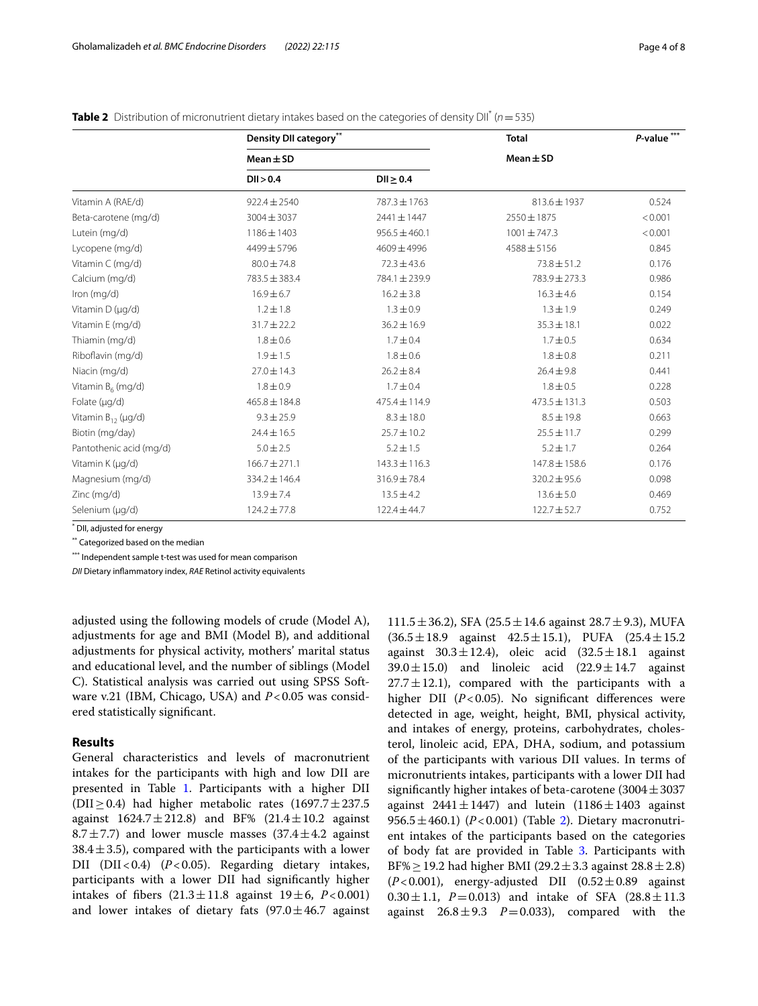|                         | Density DII category** |                   | <b>Total</b>      | $P$ -value <sup>***</sup> |  |
|-------------------------|------------------------|-------------------|-------------------|---------------------------|--|
|                         | $Mean \pm SD$          |                   | $Mean \pm SD$     |                           |  |
|                         | DI > 0.4               | DI > 0.4          |                   |                           |  |
| Vitamin A (RAE/d)       | $922.4 \pm 2540$       | 787.3 ± 1763      | $813.6 \pm 1937$  | 0.524                     |  |
| Beta-carotene (mg/d)    | $3004 \pm 3037$        | 2441±1447         | 2550 ± 1875       | < 0.001                   |  |
| Lutein (mg/d)           | $1186 \pm 1403$        | $956.5 \pm 460.1$ | $1001 \pm 747.3$  | < 0.001                   |  |
| Lycopene (mg/d)         | 4499±5796              | 4609±4996         | $4588 \pm 5156$   | 0.845                     |  |
| Vitamin C (mg/d)        | $80.0 \pm 74.8$        | $72.3 \pm 43.6$   | $73.8 \pm 51.2$   | 0.176                     |  |
| Calcium (mg/d)          | 783.5 ± 383.4          | 784.1 ± 239.9     | 783.9 ± 273.3     | 0.986                     |  |
| Iron (mg/d)             | $16.9 \pm 6.7$         | $16.2 \pm 3.8$    | $16.3 \pm 4.6$    | 0.154                     |  |
| Vitamin D (µg/d)        | $1.2 \pm 1.8$          | $1.3 \pm 0.9$     | $1.3 \pm 1.9$     | 0.249                     |  |
| Vitamin E (mg/d)        | $31.7 \pm 22.2$        | $36.2 \pm 16.9$   | $35.3 \pm 18.1$   | 0.022                     |  |
| Thiamin (mg/d)          | $1.8 \pm 0.6$          | $1.7 \pm 0.4$     | $1.7 \pm 0.5$     | 0.634                     |  |
| Riboflavin (mg/d)       | $1.9 \pm 1.5$          | $1.8 \pm 0.6$     | $1.8 \pm 0.8$     | 0.211                     |  |
| Niacin (mg/d)           | $27.0 \pm 14.3$        | $26.2 \pm 8.4$    | $26.4 \pm 9.8$    | 0.441                     |  |
| Vitamin $B_6$ (mg/d)    | $1.8 \pm 0.9$          | $1.7 \pm 0.4$     | $1.8 \pm 0.5$     | 0.228                     |  |
| Folate (µg/d)           | $465.8 \pm 184.8$      | 475.4 ± 114.9     | $473.5 \pm 131.3$ | 0.503                     |  |
| Vitamin $B_{12}$ (µg/d) | $9.3 \pm 25.9$         | $8.3 \pm 18.0$    | $8.5 \pm 19.8$    | 0.663                     |  |
| Biotin (mg/day)         | $24.4 \pm 16.5$        | $25.7 \pm 10.2$   | $25.5 \pm 11.7$   | 0.299                     |  |
| Pantothenic acid (mg/d) | $5.0 \pm 2.5$          | $5.2 \pm 1.5$     | $5.2 \pm 1.7$     | 0.264                     |  |
| Vitamin K (µg/d)        | $166.7 \pm 271.1$      | $143.3 \pm 116.3$ | 147.8 ± 158.6     | 0.176                     |  |
| Magnesium (mg/d)        | 334.2 ± 146.4          | $316.9 \pm 78.4$  | $320.2 \pm 95.6$  | 0.098                     |  |
| Zinc (mg/d)             | $13.9 \pm 7.4$         | $13.5 \pm 4.2$    | $13.6 \pm 5.0$    | 0.469                     |  |
| Selenium (µg/d)         | $124.2 \pm 77.8$       | $122.4 \pm 44.7$  | $122.7 \pm 52.7$  | 0.752                     |  |

<span id="page-3-0"></span>**Table 2** Distribution of micronutrient dietary intakes based on the categories of density DII\* (*n*=535)

\* DII, adjusted for energy

\*\* Categorized based on the median

\*\*\* Independent sample t-test was used for mean comparison

*DII* Dietary infammatory index, *RAE* Retinol activity equivalents

adjusted using the following models of crude (Model A), adjustments for age and BMI (Model B), and additional adjustments for physical activity, mothers' marital status and educational level, and the number of siblings (Model C). Statistical analysis was carried out using SPSS Software v.21 (IBM, Chicago, USA) and  $P < 0.05$  was considered statistically signifcant.

# **Results**

General characteristics and levels of macronutrient intakes for the participants with high and low DII are presented in Table [1.](#page-2-0) Participants with a higher DII (DII $\geq$  0.4) had higher metabolic rates (1697.7  $\pm$  237.5 against  $1624.7 \pm 212.8$ ) and BF%  $(21.4 \pm 10.2)$  against 8.7 $\pm$ 7.7) and lower muscle masses (37.4 $\pm$ 4.2 against  $38.4 \pm 3.5$ ), compared with the participants with a lower DII (DII<0.4) (*P*<0.05). Regarding dietary intakes, participants with a lower DII had signifcantly higher intakes of fibers  $(21.3 \pm 11.8)$  against  $19 \pm 6$ ,  $P < 0.001$ ) and lower intakes of dietary fats  $(97.0 \pm 46.7)$  against

 $111.5 \pm 36.2$ ), SFA (25.5 $\pm$ 14.6 against 28.7 $\pm$ 9.3), MUFA  $(36.5 \pm 18.9)$  against  $42.5 \pm 15.1$ ), PUFA  $(25.4 \pm 15.2)$ against  $30.3 \pm 12.4$ ), oleic acid  $(32.5 \pm 18.1$  against 39.0 $\pm$ 15.0) and linoleic acid (22.9 $\pm$ 14.7 against  $27.7 \pm 12.1$ ), compared with the participants with a higher DII (*P*<0.05). No significant differences were detected in age, weight, height, BMI, physical activity, and intakes of energy, proteins, carbohydrates, cholesterol, linoleic acid, EPA, DHA, sodium, and potassium of the participants with various DII values. In terms of micronutrients intakes, participants with a lower DII had significantly higher intakes of beta-carotene  $(3004 \pm 3037)$ against  $2441 \pm 1447$ ) and lutein  $(1186 \pm 1403$  against 956.5 $\pm$ 460.1) (*P*<0.001) (Table [2](#page-3-0)). Dietary macronutrient intakes of the participants based on the categories of body fat are provided in Table [3.](#page-4-0) Participants with BF%  $\geq$  19.2 had higher BMI (29.2  $\pm$  3.3 against 28.8  $\pm$  2.8)  $(P<0.001)$ , energy-adjusted DII  $(0.52 \pm 0.89)$  against 0.30 $\pm$ 1.1, *P*=0.013) and intake of SFA (28.8 $\pm$ 11.3 against  $26.8 \pm 9.3$   $P=0.033$ ), compared with the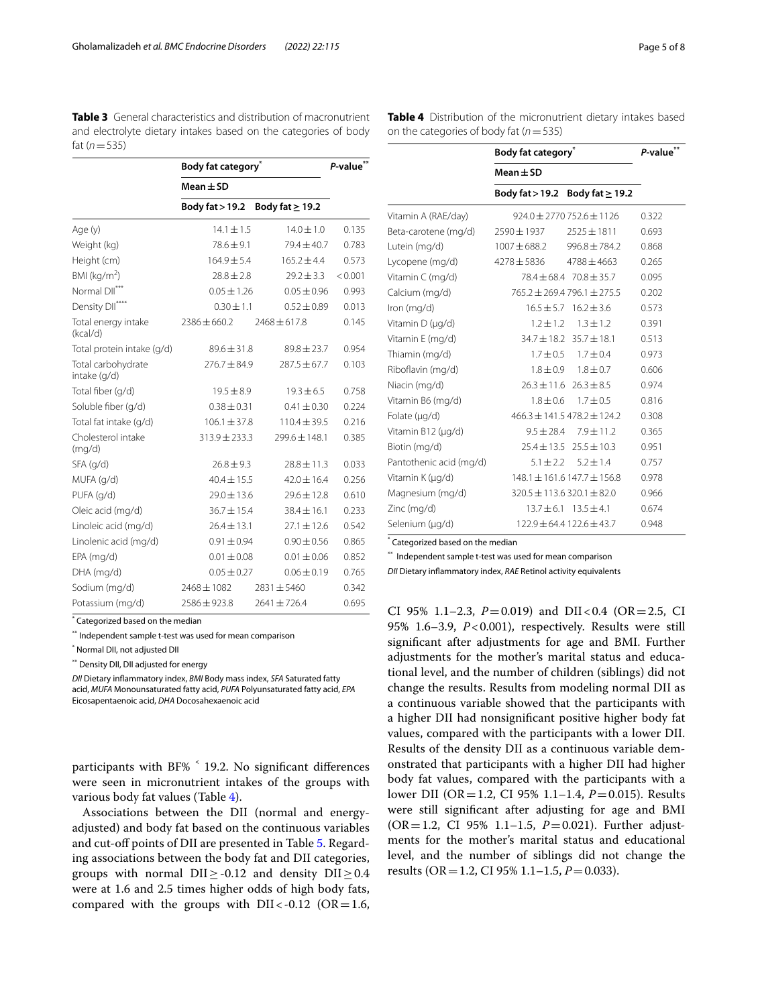<span id="page-4-0"></span>**Table 3** General characteristics and distribution of macronutrient and electrolyte dietary intakes based on the categories of body fat  $(n = 535)$ 

|                                    | Body fat category <sup>®</sup> | P-value**            |         |
|------------------------------------|--------------------------------|----------------------|---------|
|                                    | $Mean \pm SD$                  |                      |         |
|                                    | Body fat > 19.2                | Body fat $\geq$ 19.2 |         |
| Age (y)                            | $14.1 \pm 1.5$                 | $14.0 \pm 1.0$       | 0.135   |
| Weight (kg)                        | $78.6 \pm 9.1$                 | 79.4 ± 40.7          | 0.783   |
| Height (cm)                        | $164.9 \pm 5.4$                | $165.2 \pm 4.4$      | 0.573   |
| BMI ( $kg/m2$ )                    | $28.8 \pm 2.8$                 | $29.2 \pm 3.3$       | < 0.001 |
| Normal DII***                      | $0.05 \pm 1.26$                | $0.05 \pm 0.96$      | 0.993   |
| Density DII****                    | $0.30 \pm 1.1$                 | $0.52 \pm 0.89$      | 0.013   |
| Total energy intake<br>(kcal/d)    | $2386 \pm 660.2$               | $2468 \pm 617.8$     | 0.145   |
| Total protein intake (g/d)         | $89.6 \pm 31.8$                | $89.8 \pm 23.7$      | 0.954   |
| Total carbohydrate<br>intake (q/d) | $276.7 \pm 84.9$               | $287.5 \pm 67.7$     | 0.103   |
| Total fiber (q/d)                  | $19.5 \pm 8.9$                 | $19.3 \pm 6.5$       | 0.758   |
| Soluble fiber (g/d)                | $0.38 \pm 0.31$                | $0.41 \pm 0.30$      | 0.224   |
| Total fat intake (g/d)             | $106.1 \pm 37.8$               | $110.4 \pm 39.5$     | 0.216   |
| Cholesterol intake<br>(mq/d)       | $313.9 \pm 233.3$              | 299.6±148.1          | 0.385   |
| $SFA$ (g/d)                        | $26.8 \pm 9.3$                 | $78.8 + 11.3$        | 0.033   |
| MUFA (q/d)                         | $40.4 \pm 15.5$                | $42.0 \pm 16.4$      | 0.256   |
| PUFA (g/d)                         | $29.0 \pm 13.6$                | $29.6 \pm 12.8$      | 0.610   |
| Oleic acid (mg/d)                  | $36.7 \pm 15.4$                | $38.4 \pm 16.1$      | 0.233   |
| Linoleic acid (mg/d)               | $26.4 \pm 13.1$                | $27.1 \pm 12.6$      | 0.542   |
| Linolenic acid (mg/d)              | $0.91 \pm 0.94$                | $0.90 \pm 0.56$      | 0.865   |
| EPA (mg/d)                         | $0.01 \pm 0.08$                | $0.01 \pm 0.06$      | 0.852   |
| DHA (mg/d)                         | $0.05 \pm 0.27$                | $0.06 \pm 0.19$      | 0.765   |
| Sodium (mg/d)                      | $7468 + 1082$                  | $7831 + 5460$        | 0.342   |
| Potassium (mg/d)                   | $2586 \pm 923.8$               | $2641 \pm 726.4$     | 0.695   |

\* Categorized based on the median

\*\* Independent sample t-test was used for mean comparison

\* Normal DII, not adjusted DII

\*\* Density DII, DII adjusted for energy

*DII* Dietary infammatory index, *BMI* Body mass index, *SFA* Saturated fatty acid, *MUFA* Monounsaturated fatty acid, *PUFA* Polyunsaturated fatty acid, *EPA* Eicosapentaenoic acid, *DHA* Docosahexaenoic acid

participants with BF% ˂ 19.2. No signifcant diferences were seen in micronutrient intakes of the groups with various body fat values (Table [4\)](#page-4-1).

Associations between the DII (normal and energyadjusted) and body fat based on the continuous variables and cut-off points of DII are presented in Table [5.](#page-5-0) Regarding associations between the body fat and DII categories, groups with normal  $\text{DII} \geq -0.12$  and density  $\text{DII} \geq 0.4$ were at 1.6 and 2.5 times higher odds of high body fats, compared with the groups with  $DII < -0.12$  (OR=1.6, <span id="page-4-1"></span>**Table 4** Distribution of the micronutrient dietary intakes based on the categories of body fat (*n*=535)

|                         | Body fat category <sup>®</sup>       | P-value**                           |       |
|-------------------------|--------------------------------------|-------------------------------------|-------|
|                         | $Mean \pm SD$                        |                                     |       |
|                         | Body fat > 19.2 Body fat $\geq$ 19.2 |                                     |       |
| Vitamin A (RAE/day)     |                                      | $924.0 \pm 2770752.6 \pm 1126$      | 0.322 |
| Beta-carotene (mg/d)    | $2590 \pm 1937$                      | $2525 \pm 1811$                     | 0.693 |
| Lutein (mg/d)           | $1007 \pm 688.2$                     | $996.8 \pm 784.2$                   | 0.868 |
| Lycopene (mg/d)         | 4278±5836                            | $4788 \pm 4663$                     | 0.265 |
| Vitamin C (mg/d)        |                                      | $78.4 \pm 68.4$ $70.8 \pm 35.7$     | 0.095 |
| Calcium (mg/d)          |                                      | $765.2 \pm 269.4796.1 \pm 275.5$    | 0.202 |
| Iron (mg/d)             |                                      | $16.5 \pm 5.7$ $16.2 \pm 3.6$       | 0.573 |
| Vitamin D (µg/d)        |                                      | $1.2 \pm 1.2$ $1.3 \pm 1.2$         | 0.391 |
| Vitamin E (mg/d)        |                                      | $34.7 \pm 18.2$ $35.7 \pm 18.1$     | 0.513 |
| Thiamin (mg/d)          |                                      | $1.7 \pm 0.5$ $1.7 \pm 0.4$         | 0.973 |
| Riboflavin (mg/d)       |                                      | $1.8 \pm 0.9$ $1.8 \pm 0.7$         | 0.606 |
| Niacin (mg/d)           |                                      | $26.3 \pm 11.6$ $26.3 \pm 8.5$      | 0.974 |
| Vitamin B6 (mg/d)       | $1.8 \pm 0.6$                        | $1.7 \pm 0.5$                       | 0.816 |
| Folate (µg/d)           |                                      | $466.3 \pm 141.5478.2 \pm 124.2$    | 0.308 |
| Vitamin B12 (µg/d)      | $9.5 \pm 28.4$                       | $7.9 \pm 11.2$                      | 0.365 |
| Biotin (mg/d)           |                                      | $25.4 \pm 13.5$ $25.5 \pm 10.3$     | 0.951 |
| Pantothenic acid (mg/d) | $5.1 \pm 2.2$                        | $5.2 \pm 1.4$                       | 0.757 |
| Vitamin K (µg/d)        |                                      | $148.1 \pm 161.6$ $147.7 \pm 156.8$ | 0.978 |
| Magnesium (mg/d)        | $320.5 \pm 113.6320.1 \pm 82.0$      |                                     | 0.966 |
| Zinc (mg/d)             |                                      | $13.7 \pm 6.1$ $13.5 \pm 4.1$       | 0.674 |
| Selenium (µg/d)         |                                      | $122.9 \pm 64.4$ 122.6 $\pm$ 43.7   | 0.948 |

\* Categorized based on the median

\*\* Independent sample t-test was used for mean comparison

*DII* Dietary infammatory index, *RAE* Retinol activity equivalents

CI 95% 1.1–2.3,  $P = 0.019$ ) and DII<0.4 (OR=2.5, CI 95% 1.6–3.9, *P*<0.001), respectively. Results were still signifcant after adjustments for age and BMI. Further adjustments for the mother's marital status and educational level, and the number of children (siblings) did not change the results. Results from modeling normal DII as a continuous variable showed that the participants with a higher DII had nonsignifcant positive higher body fat values, compared with the participants with a lower DII. Results of the density DII as a continuous variable demonstrated that participants with a higher DII had higher body fat values, compared with the participants with a lower DII (OR=1.2, CI 95% 1.1–1.4, *P*=0.015). Results were still signifcant after adjusting for age and BMI (OR=1.2, CI 95% 1.1–1.5, *P*=0.021). Further adjustments for the mother's marital status and educational level, and the number of siblings did not change the results (OR=1.2, CI 95% 1.1–1.5, *P*=0.033).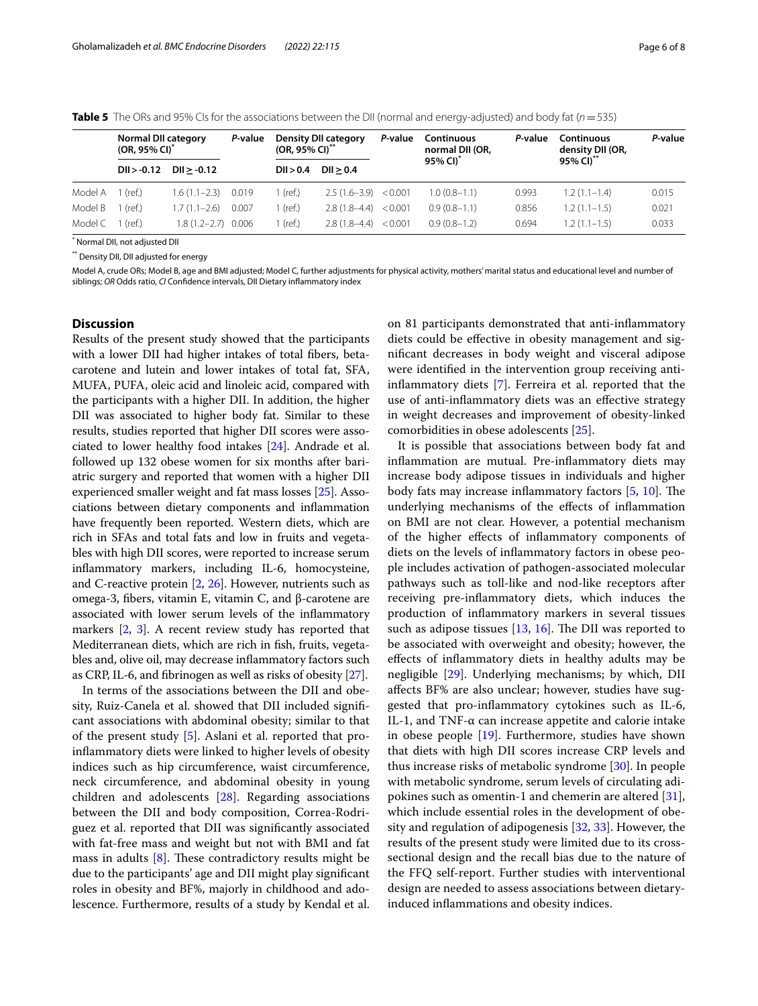|         | <b>Normal DII category</b><br>$(OR, 95\% \, \text{Cl})^*$ |                        | P-value | <b>Density DII category</b><br>$(OR, 95\% \, \text{Cl})^{**}$ |                        | P-value | Continuous<br>normal DII (OR,<br>95% CI) <sup>*</sup> | P-value | Continuous<br>density DII (OR,<br>95% CI)** | P-value |
|---------|-----------------------------------------------------------|------------------------|---------|---------------------------------------------------------------|------------------------|---------|-------------------------------------------------------|---------|---------------------------------------------|---------|
|         | $DI > -0.12$                                              | $DI > -0.12$           |         | DII > 0.4                                                     | DI > 0.4               |         |                                                       |         |                                             |         |
| Model A | (ref.)                                                    | 1.6 (1.1–2.3)          | 0.019   | l (ref.)                                                      | $2.5(1.6-3.9) < 0.001$ |         | $1.0(0.8 - 1.1)$                                      | 0.993   | $1.2(1.1-1.4)$                              | 0.015   |
| Model B | (ref.)                                                    | $.7(1.1-2.6)$          | 0.007   | 1 (ref.)                                                      | $2.8(1.8-4.4)$         | < 0.001 | $0.9(0.8-1.1)$                                        | 0.856   | $1.2(1.1-1.5)$                              | 0.021   |
| Model C | (ref.)                                                    | $1.8(1.2 - 2.7)$ 0.006 |         | I (ref.)                                                      | $2.8(1.8-4.4)$         | < 0.001 | $0.9(0.8-1.2)$                                        | 0.694   | $1.2(1.1-1.5)$                              | 0.033   |

<span id="page-5-0"></span>**Table 5** The ORs and 95% CIs for the associations between the DII (normal and energy-adjusted) and body fat (*n*=535)

\* Normal DII, not adjusted DII

\*\* Density DII, DII adjusted for energy

Model A, crude ORs; Model B, age and BMI adjusted; Model C, further adjustments for physical activity, mothers' marital status and educational level and number of siblings; *OR* Odds ratio, *CI* Confdence intervals, DII Dietary infammatory index

#### **Discussion**

Results of the present study showed that the participants with a lower DII had higher intakes of total fbers, betacarotene and lutein and lower intakes of total fat, SFA, MUFA, PUFA, oleic acid and linoleic acid, compared with the participants with a higher DII. In addition, the higher DII was associated to higher body fat. Similar to these results, studies reported that higher DII scores were associated to lower healthy food intakes [[24](#page-7-4)]. Andrade et al. followed up 132 obese women for six months after bariatric surgery and reported that women with a higher DII experienced smaller weight and fat mass losses [\[25\]](#page-7-5). Associations between dietary components and infammation have frequently been reported. Western diets, which are rich in SFAs and total fats and low in fruits and vegetables with high DII scores, were reported to increase serum infammatory markers, including IL-6, homocysteine, and C-reactive protein [[2](#page-6-1), [26](#page-7-6)]. However, nutrients such as omega-3, fbers, vitamin E, vitamin C, and β-carotene are associated with lower serum levels of the infammatory markers [\[2](#page-6-1), [3](#page-6-2)]. A recent review study has reported that Mediterranean diets, which are rich in fsh, fruits, vegetables and, olive oil, may decrease infammatory factors such as CRP, IL-6, and fbrinogen as well as risks of obesity [\[27\]](#page-7-7).

In terms of the associations between the DII and obesity, Ruiz-Canela et al. showed that DII included signifcant associations with abdominal obesity; similar to that of the present study [\[5](#page-6-4)]. Aslani et al. reported that proinfammatory diets were linked to higher levels of obesity indices such as hip circumference, waist circumference, neck circumference, and abdominal obesity in young children and adolescents [\[28\]](#page-7-8). Regarding associations between the DII and body composition, Correa-Rodriguez et al. reported that DII was signifcantly associated with fat-free mass and weight but not with BMI and fat mass in adults  $[8]$  $[8]$ . These contradictory results might be due to the participants' age and DII might play signifcant roles in obesity and BF%, majorly in childhood and adolescence. Furthermore, results of a study by Kendal et al. on 81 participants demonstrated that anti-infammatory diets could be efective in obesity management and signifcant decreases in body weight and visceral adipose were identifed in the intervention group receiving antiinfammatory diets [[7\]](#page-6-6). Ferreira et al. reported that the use of anti-infammatory diets was an efective strategy in weight decreases and improvement of obesity-linked comorbidities in obese adolescents [\[25](#page-7-5)].

It is possible that associations between body fat and infammation are mutual. Pre-infammatory diets may increase body adipose tissues in individuals and higher body fats may increase inflammatory factors  $[5, 10]$  $[5, 10]$  $[5, 10]$  $[5, 10]$ . The underlying mechanisms of the efects of infammation on BMI are not clear. However, a potential mechanism of the higher efects of infammatory components of diets on the levels of infammatory factors in obese people includes activation of pathogen-associated molecular pathways such as toll-like and nod-like receptors after receiving pre-infammatory diets, which induces the production of infammatory markers in several tissues such as adipose tissues  $[13, 16]$  $[13, 16]$  $[13, 16]$  $[13, 16]$ . The DII was reported to be associated with overweight and obesity; however, the efects of infammatory diets in healthy adults may be negligible [[29\]](#page-7-9). Underlying mechanisms; by which, DII afects BF% are also unclear; however, studies have suggested that pro-infammatory cytokines such as IL-6, IL-1, and TNF-α can increase appetite and calorie intake in obese people [[19](#page-6-18)]. Furthermore, studies have shown that diets with high DII scores increase CRP levels and thus increase risks of metabolic syndrome [\[30](#page-7-10)]. In people with metabolic syndrome, serum levels of circulating adipokines such as omentin-1 and chemerin are altered [\[31](#page-7-11)], which include essential roles in the development of obesity and regulation of adipogenesis [\[32,](#page-7-12) [33\]](#page-7-13). However, the results of the present study were limited due to its crosssectional design and the recall bias due to the nature of the FFQ self-report. Further studies with interventional design are needed to assess associations between dietaryinduced infammations and obesity indices.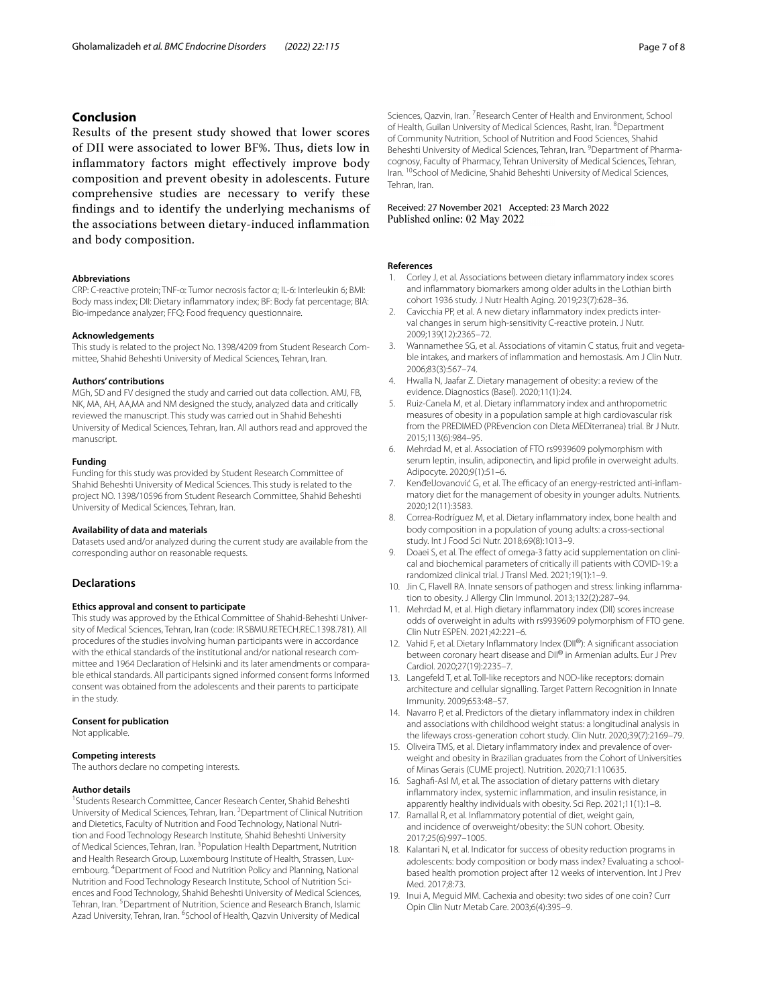### **Conclusion**

Results of the present study showed that lower scores of DII were associated to lower BF%. Tus, diets low in infammatory factors might efectively improve body composition and prevent obesity in adolescents. Future comprehensive studies are necessary to verify these fndings and to identify the underlying mechanisms of the associations between dietary-induced infammation and body composition.

#### **Abbreviations**

CRP: C-reactive protein; TNF-α: Tumor necrosis factor α; IL-6: Interleukin 6; BMI: Body mass index; DII: Dietary infammatory index; BF: Body fat percentage; BIA: Bio-impedance analyzer; FFQ: Food frequency questionnaire.

#### **Acknowledgements**

This study is related to the project No. 1398/4209 from Student Research Committee, Shahid Beheshti University of Medical Sciences, Tehran, Iran.

#### **Authors' contributions**

MGh, SD and FV designed the study and carried out data collection. AMJ, FB, NK, MA, AH, AA,MA and NM designed the study, analyzed data and critically reviewed the manuscript. This study was carried out in Shahid Beheshti University of Medical Sciences, Tehran, Iran. All authors read and approved the manuscript.

#### **Funding**

Funding for this study was provided by Student Research Committee of Shahid Beheshti University of Medical Sciences. This study is related to the project NO. 1398/10596 from Student Research Committee, Shahid Beheshti University of Medical Sciences, Tehran, Iran.

#### **Availability of data and materials**

Datasets used and/or analyzed during the current study are available from the corresponding author on reasonable requests.

#### **Declarations**

#### **Ethics approval and consent to participate**

This study was approved by the Ethical Committee of Shahid-Beheshti University of Medical Sciences, Tehran, Iran (code: IR.SBMU.RETECH.REC.1398.781). All procedures of the studies involving human participants were in accordance with the ethical standards of the institutional and/or national research committee and 1964 Declaration of Helsinki and its later amendments or comparable ethical standards. All participants signed informed consent forms Informed consent was obtained from the adolescents and their parents to participate in the study.

#### **Consent for publication**

Not applicable.

#### **Competing interests**

The authors declare no competing interests.

#### **Author details**

<sup>1</sup> Students Research Committee, Cancer Research Center, Shahid Beheshti University of Medical Sciences, Tehran, Iran. <sup>2</sup> Department of Clinical Nutrition and Dietetics, Faculty of Nutrition and Food Technology, National Nutrition and Food Technology Research Institute, Shahid Beheshti University of Medical Sciences, Tehran, Iran. <sup>3</sup> Population Health Department, Nutrition and Health Research Group, Luxembourg Institute of Health, Strassen, Luxembourg. <sup>4</sup>Department of Food and Nutrition Policy and Planning, National Nutrition and Food Technology Research Institute, School of Nutrition Sciences and Food Technology, Shahid Beheshti University of Medical Sciences, Tehran, Iran. <sup>5</sup> Department of Nutrition, Science and Research Branch, Islamic Azad University, Tehran, Iran. <sup>6</sup>School of Health, Qazvin University of Medical

Sciences, Qazvin, Iran. <sup>7</sup> Research Center of Health and Environment, School of Health, Guilan University of Medical Sciences, Rasht, Iran. <sup>8</sup> Department of Community Nutrition, School of Nutrition and Food Sciences, Shahid Beheshti University of Medical Sciences, Tehran, Iran. <sup>9</sup> Department of Pharmacognosy, Faculty of Pharmacy, Tehran University of Medical Sciences, Tehran, Iran. <sup>10</sup>School of Medicine, Shahid Beheshti University of Medical Sciences, Tehran, Iran.

# Received: 27 November 2021 Accepted: 23 March 2022<br>Published online: 02 May 2022

#### **References**

- <span id="page-6-0"></span>Corley J, et al. Associations between dietary inflammatory index scores and infammatory biomarkers among older adults in the Lothian birth cohort 1936 study. J Nutr Health Aging. 2019;23(7):628–36.
- <span id="page-6-1"></span>2. Cavicchia PP, et al. A new dietary infammatory index predicts interval changes in serum high-sensitivity C-reactive protein. J Nutr. 2009;139(12):2365–72.
- <span id="page-6-2"></span>3. Wannamethee SG, et al. Associations of vitamin C status, fruit and vegetable intakes, and markers of infammation and hemostasis. Am J Clin Nutr. 2006;83(3):567–74.
- <span id="page-6-3"></span>4. Hwalla N, Jaafar Z. Dietary management of obesity: a review of the evidence. Diagnostics (Basel). 2020;11(1):24.
- <span id="page-6-4"></span>5. Ruiz-Canela M, et al. Dietary infammatory index and anthropometric measures of obesity in a population sample at high cardiovascular risk from the PREDIMED (PREvencion con DIeta MEDiterranea) trial. Br J Nutr. 2015;113(6):984–95.
- <span id="page-6-5"></span>6. Mehrdad M, et al. Association of FTO rs9939609 polymorphism with serum leptin, insulin, adiponectin, and lipid profle in overweight adults. Adipocyte. 2020;9(1):51–6.
- <span id="page-6-6"></span>7. KenđelJovanović G, et al. The efficacy of an energy-restricted anti-inflammatory diet for the management of obesity in younger adults. Nutrients. 2020;12(11):3583.
- <span id="page-6-7"></span>8. Correa-Rodríguez M, et al. Dietary infammatory index, bone health and body composition in a population of young adults: a cross-sectional study. Int J Food Sci Nutr. 2018;69(8):1013–9.
- <span id="page-6-8"></span>9. Doaei S, et al. The effect of omega-3 fatty acid supplementation on clinical and biochemical parameters of critically ill patients with COVID-19: a randomized clinical trial. J Transl Med. 2021;19(1):1–9.
- <span id="page-6-9"></span>10. Jin C, Flavell RA. Innate sensors of pathogen and stress: linking infammation to obesity. J Allergy Clin Immunol. 2013;132(2):287–94.
- <span id="page-6-10"></span>11. Mehrdad M, et al. High dietary infammatory index (DII) scores increase odds of overweight in adults with rs9939609 polymorphism of FTO gene. Clin Nutr ESPEN. 2021;42:221–6.
- <span id="page-6-11"></span>12. Vahid F, et al. Dietary Inflammatory Index (DII®): A significant association between coronary heart disease and DII<sup>®</sup> in Armenian adults. Eur J Prev Cardiol. 2020;27(19):2235–7.
- <span id="page-6-12"></span>13. Langefeld T, et al. Toll-like receptors and NOD-like receptors: domain architecture and cellular signalling. Target Pattern Recognition in Innate Immunity. 2009;653:48–57.
- <span id="page-6-13"></span>14. Navarro P, et al. Predictors of the dietary infammatory index in children and associations with childhood weight status: a longitudinal analysis in the lifeways cross-generation cohort study. Clin Nutr. 2020;39(7):2169–79.
- <span id="page-6-14"></span>15. Oliveira TMS, et al. Dietary infammatory index and prevalence of overweight and obesity in Brazilian graduates from the Cohort of Universities of Minas Gerais (CUME project). Nutrition. 2020;71:110635.
- <span id="page-6-15"></span>16. Saghaf-Asl M, et al. The association of dietary patterns with dietary infammatory index, systemic infammation, and insulin resistance, in apparently healthy individuals with obesity. Sci Rep. 2021;11(1):1–8.
- <span id="page-6-16"></span>17. Ramallal R, et al. Infammatory potential of diet, weight gain, and incidence of overweight/obesity: the SUN cohort. Obesity. 2017;25(6):997–1005.
- <span id="page-6-17"></span>18. Kalantari N, et al. Indicator for success of obesity reduction programs in adolescents: body composition or body mass index? Evaluating a schoolbased health promotion project after 12 weeks of intervention. Int J Prev Med. 2017;8:73.
- <span id="page-6-18"></span>19. Inui A, Meguid MM. Cachexia and obesity: two sides of one coin? Curr Opin Clin Nutr Metab Care. 2003;6(4):395–9.